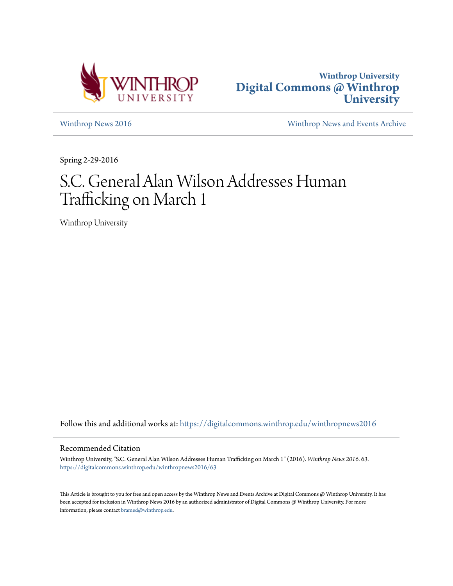



[Winthrop News 2016](https://digitalcommons.winthrop.edu/winthropnews2016?utm_source=digitalcommons.winthrop.edu%2Fwinthropnews2016%2F63&utm_medium=PDF&utm_campaign=PDFCoverPages) [Winthrop News and Events Archive](https://digitalcommons.winthrop.edu/winthropnewsarchives?utm_source=digitalcommons.winthrop.edu%2Fwinthropnews2016%2F63&utm_medium=PDF&utm_campaign=PDFCoverPages)

Spring 2-29-2016

## S.C. General Alan Wilson Addresses Human Trafficking on March 1

Winthrop University

Follow this and additional works at: [https://digitalcommons.winthrop.edu/winthropnews2016](https://digitalcommons.winthrop.edu/winthropnews2016?utm_source=digitalcommons.winthrop.edu%2Fwinthropnews2016%2F63&utm_medium=PDF&utm_campaign=PDFCoverPages)

## Recommended Citation

Winthrop University, "S.C. General Alan Wilson Addresses Human Trafficking on March 1" (2016). *Winthrop News 2016*. 63. [https://digitalcommons.winthrop.edu/winthropnews2016/63](https://digitalcommons.winthrop.edu/winthropnews2016/63?utm_source=digitalcommons.winthrop.edu%2Fwinthropnews2016%2F63&utm_medium=PDF&utm_campaign=PDFCoverPages)

This Article is brought to you for free and open access by the Winthrop News and Events Archive at Digital Commons @ Winthrop University. It has been accepted for inclusion in Winthrop News 2016 by an authorized administrator of Digital Commons @ Winthrop University. For more information, please contact [bramed@winthrop.edu](mailto:bramed@winthrop.edu).